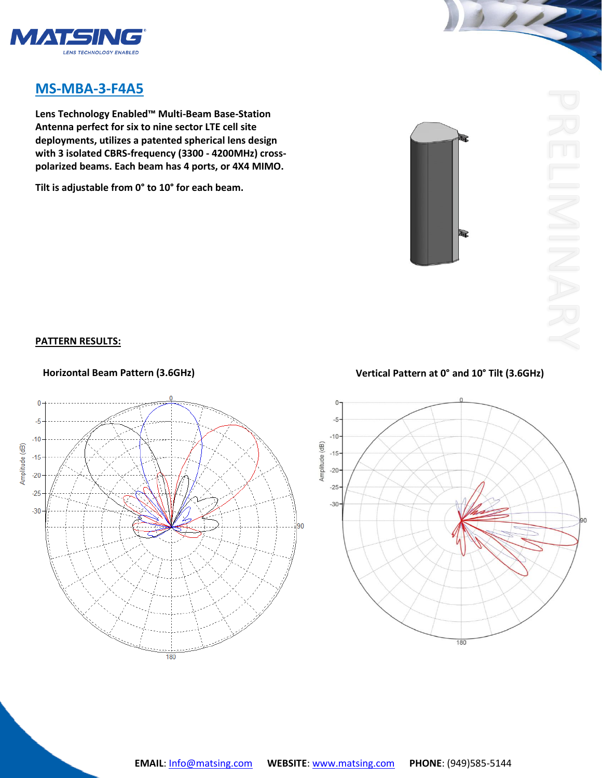

## **MS-MBA-3-F4A5**

**Lens Technology Enabled™ Multi-Beam Base-Station Antenna perfect for six to nine sector LTE cell site deployments, utilizes a patented spherical lens design with 3 isolated CBRS-frequency (3300 - 4200MHz) crosspolarized beams. Each beam has 4 ports, or 4X4 MIMO.** 

**Tilt is adjustable from 0° to 10° for each beam.**



## **PATTERN RESULTS:**